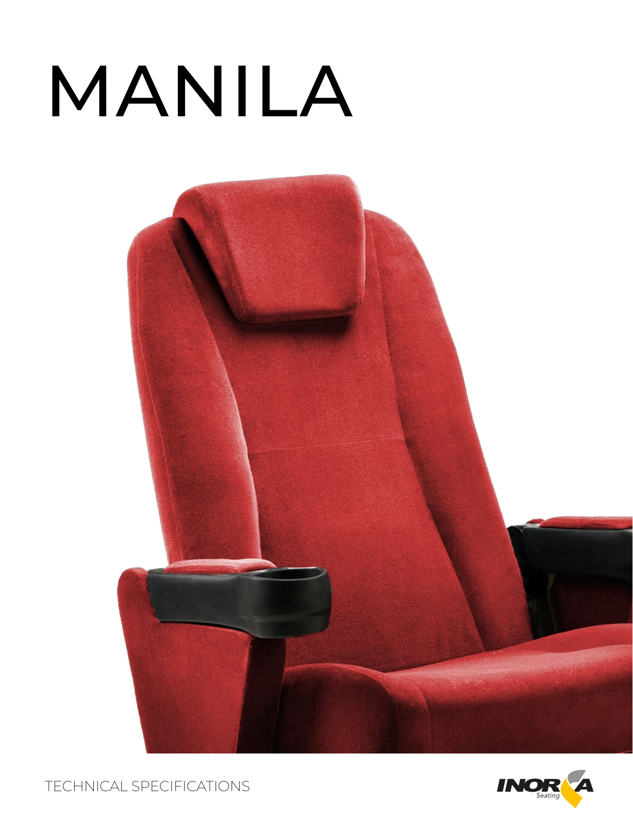# MANILA





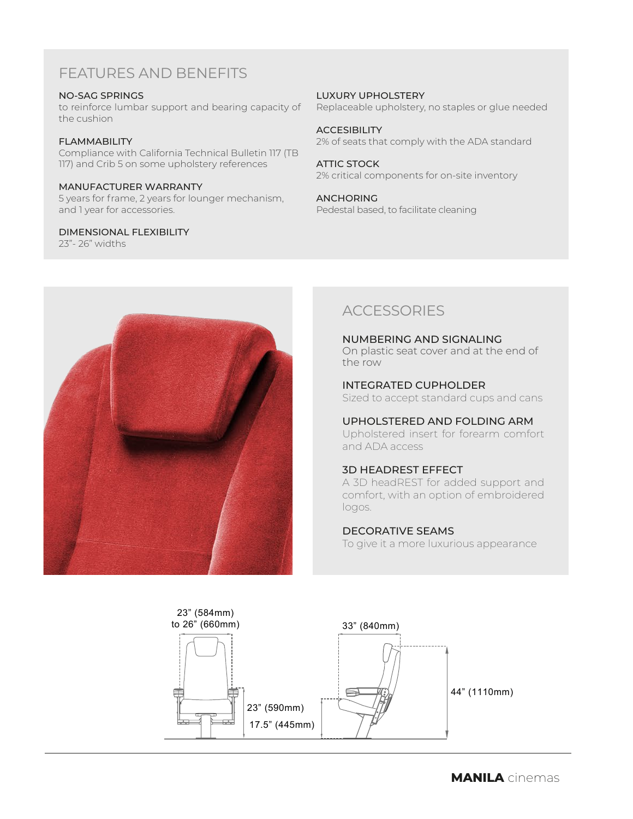# FEATURES AND BENEFITS

#### NO-SAG SPRINGS

to reinforce lumbar support and bearing capacity of the cushion

#### FLAMMABILITY

Compliance with California Technical Bulletin 117 (TB 117) and Crib 5 on some upholstery references

#### MANUFACTURER WARRANTY

5 years for frame, 2 years for lounger mechanism, and 1 year for accessories.

#### DIMENSIONAL FLEXIBILITY

23"- 26" widths

LUXURY UPHOLSTERY Replaceable upholstery, no staples or glue needed

**ACCESIBILITY** 2% of seats that comply with the ADA standard

ATTIC STOCK 2% critical components for on-site inventory

ANCHORING Pedestal based, to facilitate cleaning



# **ACCESSORIES**

NUMBERING AND SIGNALING On plastic seat cover and at the end of the row

INTEGRATED CUPHOLDER Sized to accept standard cups and cans

# UPHOLSTERED AND FOLDING ARM

Upholstered insert for forearm comfort and ADA access

## 3D HEADREST EFFECT

A 3D headREST for added support and comfort, with an option of embroidered logos.

## DECORATIVE SEAMS

To give it a more luxurious appearance

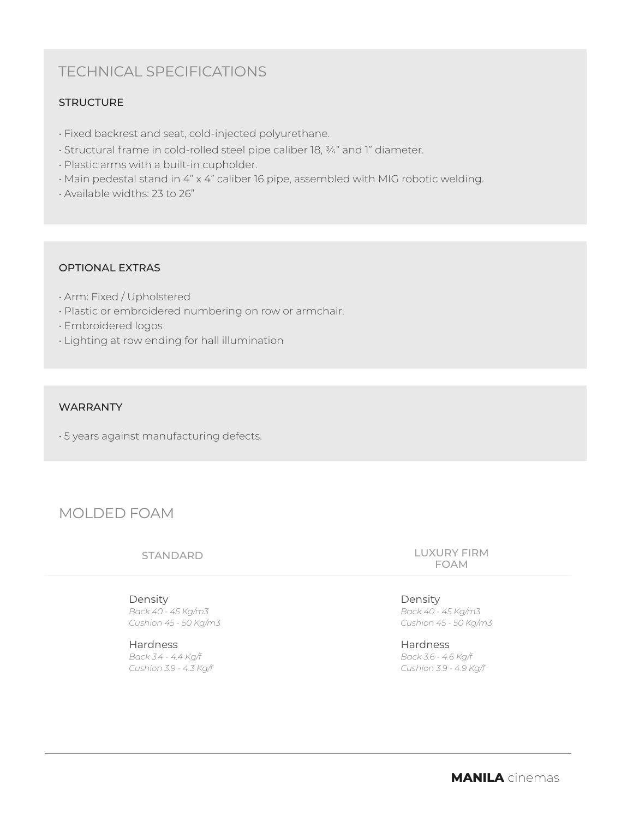# TECHNICAL SPECIFICATIONS

## **STRUCTURE**

- Fixed backrest and seat, cold-injected polyurethane.
- Structural frame in cold-rolled steel pipe caliber 18, ¾" and 1" diameter.
- Plastic arms with a built-in cupholder.
- Main pedestal stand in 4" x 4" caliber 16 pipe, assembled with MIG robotic welding.
- Available widths: 23 to 26"

## OPTIONAL EXTRAS

- Arm: Fixed / Upholstered
- Plastic or embroidered numbering on row or armchair.
- Embroidered logos
- Lighting at row ending for hall illumination

#### WARRANTY

• 5 years against manufacturing defects.

# MOLDED FOAM

## STANDARD

Density *Back 40 - 45 Kg/m3 Cushion 45 - 50 Kg/m3*

**Hardness** *Back 3.4 - 4.4 Kg/f Cushion 3.9 - 4.3 Kg/f* LUXURY FIRM FOAM

Density *Back 40 - 45 Kg/m3 Cushion 45 - 50 Kg/m3*

Hardness *Back 3.6 - 4.6 Kg/f Cushion 3.9 - 4.9 Kg/f*